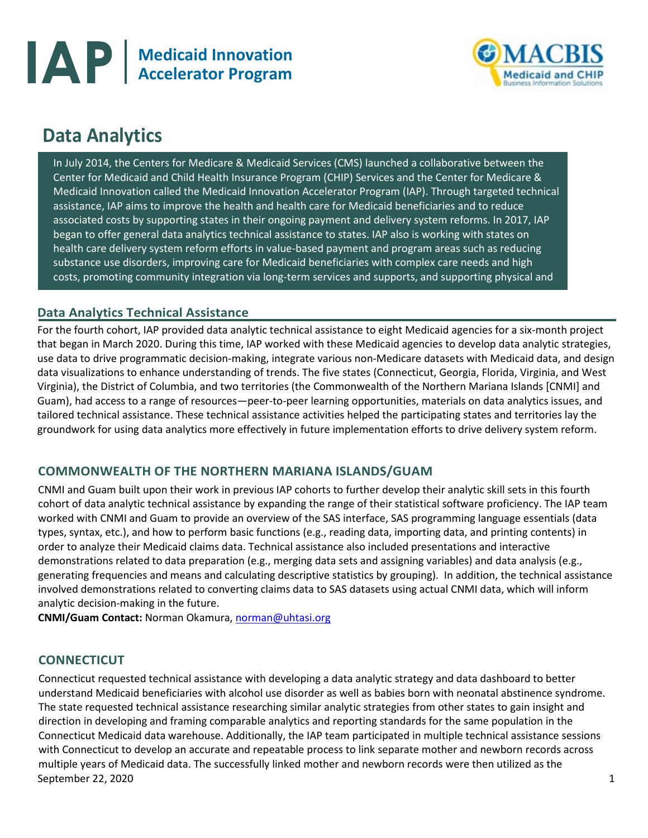



# **Data Analytics**

I

In July 2014, the Centers for Medicare & Medicaid Services (CMS) launched a collaborative between the Center for Medicaid and Child Health Insurance Program (CHIP) Services and the Center for Medicare & Medicaid Innovation called the Medicaid Innovation Accelerator Program (IAP). Through targeted technical assistance, IAP aims to improve the health and health care for Medicaid beneficiaries and to reduce associated costs by supporting states in their ongoing payment and delivery system reforms. In 2017, IAP began to offer general data analytics technical assistance to states. IAP also is working with states on health care delivery system reform efforts in value-based payment and program areas such as reducing substance use disorders, improving care for Medicaid beneficiaries with complex care needs and high costs, promoting community integration via long-term services and supports, and supporting physical and

## **Data Analytics Technical Assistance**

For the fourth cohort, IAP provided data analytic technical assistance to eight Medicaid agencies for a six-month project that began in March 2020. During this time, IAP worked with these Medicaid agencies to develop data analytic strategies, use data to drive programmatic decision-making, integrate various non-Medicare datasets with Medicaid data, and design data visualizations to enhance understanding of trends. The five states (Connecticut, Georgia, Florida, Virginia, and West Virginia), the District of Columbia, and two territories (the Commonwealth of the Northern Mariana Islands [CNMI] and Guam), had access to a range of resources—peer-to-peer learning opportunities, materials on data analytics issues, and tailored technical assistance. These technical assistance activities helped the participating states and territories lay the groundwork for using data analytics more effectively in future implementation efforts to drive delivery system reform.

## **COMMONWEALTH OF THE NORTHERN MARIANA ISLANDS/GUAM**

CNMI and Guam built upon their work in previous IAP cohorts to further develop their analytic skill sets in this fourth cohort of data analytic technical assistance by expanding the range of their statistical software proficiency. The IAP team worked with CNMI and Guam to provide an overview of the SAS interface, SAS programming language essentials (data types, syntax, etc.), and how to perform basic functions (e.g., reading data, importing data, and printing contents) in order to analyze their Medicaid claims data. Technical assistance also included presentations and interactive demonstrations related to data preparation (e.g., merging data sets and assigning variables) and data analysis (e.g., generating frequencies and means and calculating descriptive statistics by grouping). In addition, the technical assistance involved demonstrations related to converting claims data to SAS datasets using actual CNMI data, which will inform analytic decision-making in the future.

**CNMI/Guam Contact:** Norman Okamura[, norman@uhtasi.org](mailto:norman@uhtasi.org)

## **CONNECTICUT**

September 22, 2020 1 Connecticut requested technical assistance with developing a data analytic strategy and data dashboard to better understand Medicaid beneficiaries with alcohol use disorder as well as babies born with neonatal abstinence syndrome. The state requested technical assistance researching similar analytic strategies from other states to gain insight and direction in developing and framing comparable analytics and reporting standards for the same population in the Connecticut Medicaid data warehouse. Additionally, the IAP team participated in multiple technical assistance sessions with Connecticut to develop an accurate and repeatable process to link separate mother and newborn records across multiple years of Medicaid data. The successfully linked mother and newborn records were then utilized as the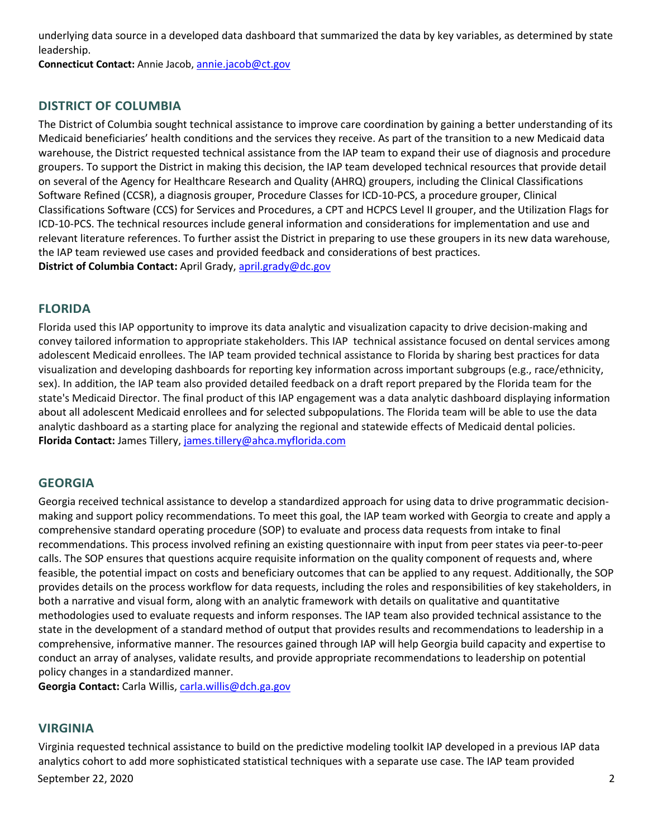underlying data source in a developed data dashboard that summarized the data by key variables, as determined by state leadership.

**Connecticut Contact:** Annie Jacob[, annie.jacob@ct.gov](mailto:annie.jacob@ct.gov)

## **DISTRICT OF COLUMBIA**

The District of Columbia sought technical assistance to improve care coordination by gaining a better understanding of its Medicaid beneficiaries' health conditions and the services they receive. As part of the transition to a new Medicaid data warehouse, the District requested technical assistance from the IAP team to expand their use of diagnosis and procedure groupers. To support the District in making this decision, the IAP team developed technical resources that provide detail on several of the Agency for Healthcare Research and Quality (AHRQ) groupers, including the Clinical Classifications Software Refined (CCSR), a diagnosis grouper, Procedure Classes for ICD-10-PCS, a procedure grouper, Clinical Classifications Software (CCS) for Services and Procedures, a CPT and HCPCS Level II grouper, and the Utilization Flags for ICD-10-PCS. The technical resources include general information and considerations for implementation and use and relevant literature references. To further assist the District in preparing to use these groupers in its new data warehouse, the IAP team reviewed use cases and provided feedback and considerations of best practices. **District of Columbia Contact:** April Grady[, april.grady@dc.gov](mailto:april.grady@dc.gov) 

## **FLORIDA**

Florida used this IAP opportunity to improve its data analytic and visualization capacity to drive decision-making and convey tailored information to appropriate stakeholders. This IAP technical assistance focused on dental services among adolescent Medicaid enrollees. The IAP team provided technical assistance to Florida by sharing best practices for data visualization and developing dashboards for reporting key information across important subgroups (e.g., race/ethnicity, sex). In addition, the IAP team also provided detailed feedback on a draft report prepared by the Florida team for the state's Medicaid Director. The final product of this IAP engagement was a data analytic dashboard displaying information about all adolescent Medicaid enrollees and for selected subpopulations. The Florida team will be able to use the data analytic dashboard as a starting place for analyzing the regional and statewide effects of Medicaid dental policies. **Florida Contact:** James Tillery[, james.tillery@ahca.myflorida.com](mailto:james.tillery@ahca.myflorida.com)

## **GEORGIA**

Georgia received technical assistance to develop a standardized approach for using data to drive programmatic decisionmaking and support policy recommendations. To meet this goal, the IAP team worked with Georgia to create and apply a comprehensive standard operating procedure (SOP) to evaluate and process data requests from intake to final recommendations. This process involved refining an existing questionnaire with input from peer states via peer-to-peer calls. The SOP ensures that questions acquire requisite information on the quality component of requests and, where feasible, the potential impact on costs and beneficiary outcomes that can be applied to any request. Additionally, the SOP provides details on the process workflow for data requests, including the roles and responsibilities of key stakeholders, in both a narrative and visual form, along with an analytic framework with details on qualitative and quantitative methodologies used to evaluate requests and inform responses. The IAP team also provided technical assistance to the state in the development of a standard method of output that provides results and recommendations to leadership in a comprehensive, informative manner. The resources gained through IAP will help Georgia build capacity and expertise to conduct an array of analyses, validate results, and provide appropriate recommendations to leadership on potential policy changes in a standardized manner.

**Georgia Contact:** Carla Willis, [carla.willis@dch.ga.gov](mailto:carla.willis@dch.ga.gov)

## **VIRGINIA**

September 22, 2020 2 Virginia requested technical assistance to build on the predictive modeling toolkit IAP developed in a previous IAP data analytics cohort to add more sophisticated statistical techniques with a separate use case. The IAP team provided